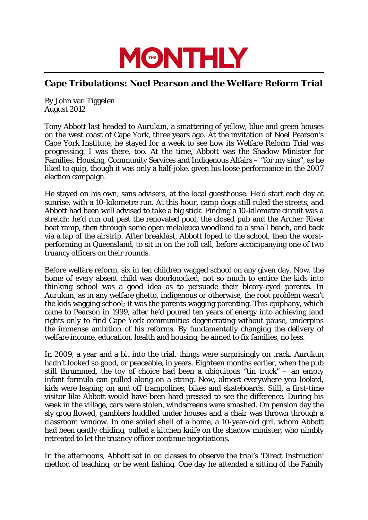

## **Cape Tribulations: Noel Pearson and the Welfare Reform Trial**

By John van Tiggelen August 2012

Tony Abbott last headed to Aurukun, a smattering of yellow, blue and green houses on the west coast of Cape York, three years ago. At the invitation of Noel Pearson's Cape York Institute, he stayed for a week to see how its Welfare Reform Trial was progressing. I was there, too. At the time, Abbott was the Shadow Minister for Families, Housing, Community Services and Indigenous Affairs – "for my sins", as he liked to quip, though it was only a half-joke, given his loose performance in the 2007 election campaign.

He stayed on his own, sans advisers, at the local guesthouse. He'd start each day at sunrise, with a 10-kilometre run. At this hour, camp dogs still ruled the streets, and Abbott had been well advised to take a big stick. Finding a 10-kilometre circuit was a stretch: he'd run out past the renovated pool, the closed pub and the Archer River boat ramp, then through some open melaleuca woodland to a small beach, and back via a lap of the airstrip. After breakfast, Abbott loped to the school, then the worstperforming in Queensland, to sit in on the roll call, before accompanying one of two truancy officers on their rounds.

Before welfare reform, six in ten children wagged school on any given day. Now, the home of every absent child was doorknocked, not so much to entice the kids into thinking school was a good idea as to persuade their bleary-eyed parents. In Aurukun, as in any welfare ghetto, indigenous or otherwise, the root problem wasn't the kids wagging school; it was the parents wagging parenting. This epiphany, which came to Pearson in 1999, after he'd poured ten years of energy into achieving land rights only to find Cape York communities degenerating without pause, underpins the immense ambition of his reforms. By fundamentally changing the delivery of welfare income, education, health and housing, he aimed to fix families, no less.

In 2009, a year and a bit into the trial, things were surprisingly on track. Aurukun hadn't looked so good, or peaceable, in years. Eighteen months earlier, when the pub still thrummed, the toy of choice had been a ubiquitous "tin truck" – an empty infant-formula can pulled along on a string. Now, almost everywhere you looked, kids were leaping on and off trampolines, bikes and skateboards. Still, a first-time visitor like Abbott would have been hard-pressed to see the difference. During his week in the village, cars were stolen, windscreens were smashed. On pension day the sly grog flowed, gamblers huddled under houses and a chair was thrown through a classroom window. In one soiled shell of a home, a 10-year-old girl, whom Abbott had been gently chiding, pulled a kitchen knife on the shadow minister, who nimbly retreated to let the truancy officer continue negotiations.

In the afternoons, Abbott sat in on classes to observe the trial's 'Direct Instruction' method of teaching, or he went fishing. One day he attended a sitting of the Family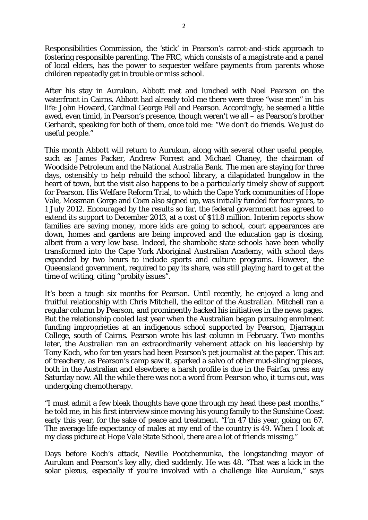Responsibilities Commission, the 'stick' in Pearson's carrot-and-stick approach to fostering responsible parenting. The FRC, which consists of a magistrate and a panel of local elders, has the power to sequester welfare payments from parents whose children repeatedly get in trouble or miss school.

After his stay in Aurukun, Abbott met and lunched with Noel Pearson on the waterfront in Cairns. Abbott had already told me there were three "wise men" in his life: John Howard, Cardinal George Pell and Pearson. Accordingly, he seemed a little awed, even timid, in Pearson's presence, though weren't we all – as Pearson's brother Gerhardt, speaking for both of them, once told me: "We don't do friends. We just do useful people."

This month Abbott will return to Aurukun, along with several other useful people, such as James Packer, Andrew Forrest and Michael Chaney, the chairman of Woodside Petroleum and the National Australia Bank. The men are staying for three days, ostensibly to help rebuild the school library, a dilapidated bungalow in the heart of town, but the visit also happens to be a particularly timely show of support for Pearson. His Welfare Reform Trial, to which the Cape York communities of Hope Vale, Mossman Gorge and Coen also signed up, was initially funded for four years, to 1 July 2012. Encouraged by the results so far, the federal government has agreed to extend its support to December 2013, at a cost of \$11.8 million. Interim reports show families are saving money, more kids are going to school, court appearances are down, homes and gardens are being improved and the education gap is closing, albeit from a very low base. Indeed, the shambolic state schools have been wholly transformed into the Cape York Aboriginal Australian Academy, with school days expanded by two hours to include sports and culture programs. However, the Queensland government, required to pay its share, was still playing hard to get at the time of writing, citing "probity issues".

It's been a tough six months for Pearson. Until recently, he enjoyed a long and fruitful relationship with Chris Mitchell, the editor of the Australian. Mitchell ran a regular column by Pearson, and prominently backed his initiatives in the news pages. But the relationship cooled last year when the Australian began pursuing enrolment funding improprieties at an indigenous school supported by Pearson, Djarragun College, south of Cairns. Pearson wrote his last column in February. Two months later, the Australian ran an extraordinarily vehement attack on his leadership by Tony Koch, who for ten years had been Pearson's pet journalist at the paper. This act of treachery, as Pearson's camp saw it, sparked a salvo of other mud-slinging pieces, both in the Australian and elsewhere; a harsh profile is due in the Fairfax press any Saturday now. All the while there was not a word from Pearson who, it turns out, was undergoing chemotherapy.

"I must admit a few bleak thoughts have gone through my head these past months," he told me, in his first interview since moving his young family to the Sunshine Coast early this year, for the sake of peace and treatment. "I'm 47 this year, going on 67. The average life expectancy of males at my end of the country is 49. When I look at my class picture at Hope Vale State School, there are a lot of friends missing."

Days before Koch's attack, Neville Pootchemunka, the longstanding mayor of Aurukun and Pearson's key ally, died suddenly. He was 48. "That was a kick in the solar plexus, especially if you're involved with a challenge like Aurukun," says